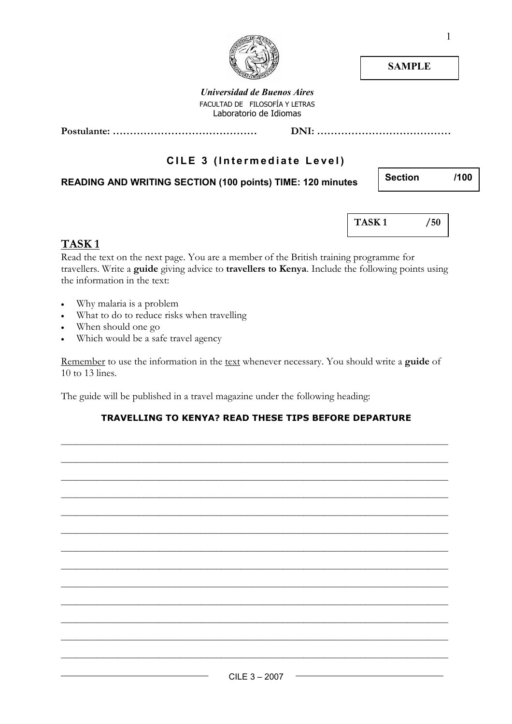# **SAMPLE**

Universidad de Buenos Aires FACULTAD DE FILOSOFÍA Y LETRAS Laboratorio de Idiomas

Postulante: …………………………………… DNI: …………………………………

# CILE 3 (Intermediate Level)

## READING AND WRITING SECTION (100 points) TIME: 120 minutes

TASK 1 /50

## TASK<sub>1</sub>

Read the text on the next page. You are a member of the British training programme for travellers. Write a guide giving advice to travellers to Kenya. Include the following points using the information in the text:

- Why malaria is a problem
- What to do to reduce risks when travelling
- When should one go
- Which would be a safe travel agency

Remember to use the information in the text whenever necessary. You should write a guide of 10 to 13 lines.

The guide will be published in a travel magazine under the following heading:

### TRAVELLING TO KENYA? READ THESE TIPS BEFORE DEPARTURE

\_\_\_\_\_\_\_\_\_\_\_\_\_\_\_\_\_\_\_\_\_\_\_\_\_\_\_\_\_\_\_\_\_\_\_\_\_\_\_\_\_\_\_\_\_\_\_\_\_\_\_\_\_\_\_\_\_\_\_\_\_\_\_\_\_\_\_\_\_\_\_\_\_\_\_

\_\_\_\_\_\_\_\_\_\_\_\_\_\_\_\_\_\_\_\_\_\_\_\_\_\_\_\_\_\_\_\_\_\_\_\_\_\_\_\_\_\_\_\_\_\_\_\_\_\_\_\_\_\_\_\_\_\_\_\_\_\_\_\_\_\_\_\_\_\_\_\_\_\_\_

\_\_\_\_\_\_\_\_\_\_\_\_\_\_\_\_\_\_\_\_\_\_\_\_\_\_\_\_\_\_\_\_\_\_\_\_\_\_\_\_\_\_\_\_\_\_\_\_\_\_\_\_\_\_\_\_\_\_\_\_\_\_\_\_\_\_\_\_\_\_\_\_\_\_\_

\_\_\_\_\_\_\_\_\_\_\_\_\_\_\_\_\_\_\_\_\_\_\_\_\_\_\_\_\_\_\_\_\_\_\_\_\_\_\_\_\_\_\_\_\_\_\_\_\_\_\_\_\_\_\_\_\_\_\_\_\_\_\_\_\_\_\_\_\_\_\_\_\_\_\_

\_\_\_\_\_\_\_\_\_\_\_\_\_\_\_\_\_\_\_\_\_\_\_\_\_\_\_\_\_\_\_\_\_\_\_\_\_\_\_\_\_\_\_\_\_\_\_\_\_\_\_\_\_\_\_\_\_\_\_\_\_\_\_\_\_\_\_\_\_\_\_\_\_\_\_

\_\_\_\_\_\_\_\_\_\_\_\_\_\_\_\_\_\_\_\_\_\_\_\_\_\_\_\_\_\_\_\_\_\_\_\_\_\_\_\_\_\_\_\_\_\_\_\_\_\_\_\_\_\_\_\_\_\_\_\_\_\_\_\_\_\_\_\_\_\_\_\_\_\_\_

\_\_\_\_\_\_\_\_\_\_\_\_\_\_\_\_\_\_\_\_\_\_\_\_\_\_\_\_\_\_\_\_\_\_\_\_\_\_\_\_\_\_\_\_\_\_\_\_\_\_\_\_\_\_\_\_\_\_\_\_\_\_\_\_\_\_\_\_\_\_\_\_\_\_\_

\_\_\_\_\_\_\_\_\_\_\_\_\_\_\_\_\_\_\_\_\_\_\_\_\_\_\_\_\_\_\_\_\_\_\_\_\_\_\_\_\_\_\_\_\_\_\_\_\_\_\_\_\_\_\_\_\_\_\_\_\_\_\_\_\_\_\_\_\_\_\_\_\_\_\_

\_\_\_\_\_\_\_\_\_\_\_\_\_\_\_\_\_\_\_\_\_\_\_\_\_\_\_\_\_\_\_\_\_\_\_\_\_\_\_\_\_\_\_\_\_\_\_\_\_\_\_\_\_\_\_\_\_\_\_\_\_\_\_\_\_\_\_\_\_\_\_\_\_\_\_

\_\_\_\_\_\_\_\_\_\_\_\_\_\_\_\_\_\_\_\_\_\_\_\_\_\_\_\_\_\_\_\_\_\_\_\_\_\_\_\_\_\_\_\_\_\_\_\_\_\_\_\_\_\_\_\_\_\_\_\_\_\_\_\_\_\_\_\_\_\_\_\_\_\_\_

\_\_\_\_\_\_\_\_\_\_\_\_\_\_\_\_\_\_\_\_\_\_\_\_\_\_\_\_\_\_\_\_\_\_\_\_\_\_\_\_\_\_\_\_\_\_\_\_\_\_\_\_\_\_\_\_\_\_\_\_\_\_\_\_\_\_\_\_\_\_\_\_\_\_\_

\_\_\_\_\_\_\_\_\_\_\_\_\_\_\_\_\_\_\_\_\_\_\_\_\_\_\_\_\_\_\_\_\_\_\_\_\_\_\_\_\_\_\_\_\_\_\_\_\_\_\_\_\_\_\_\_\_\_\_\_\_\_\_\_\_\_\_\_\_\_\_\_\_\_\_

\_\_\_\_\_\_\_\_\_\_\_\_\_\_\_\_\_\_\_\_\_\_\_\_\_\_\_\_\_\_\_\_\_\_\_\_\_\_\_\_\_\_\_\_\_\_\_\_\_\_\_\_\_\_\_\_\_\_\_\_\_\_\_\_\_\_\_\_\_\_\_\_\_\_\_



Section /100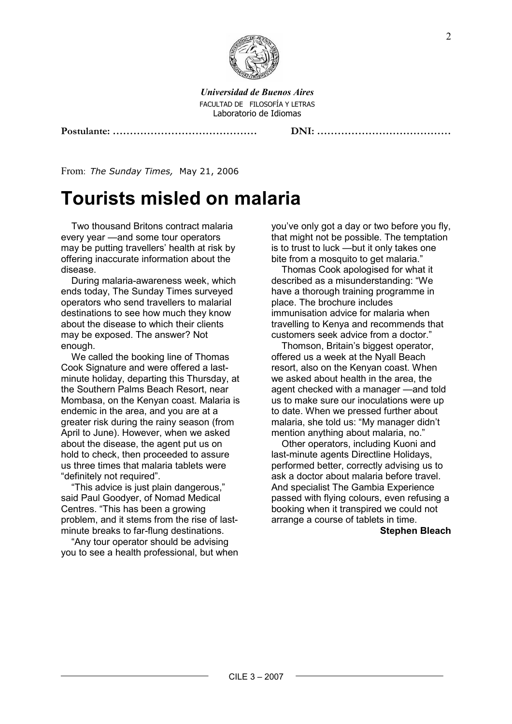

Universidad de Buenos Aires FACULTAD DE FILOSOFÍA Y LETRAS Laboratorio de Idiomas

#### Postulante: …………………………………… DNI: …………………………………

From: The Sunday Times, May 21, 2006

# Tourists misled on malaria

Two thousand Britons contract malaria every year —and some tour operators may be putting travellers' health at risk by offering inaccurate information about the disease.

During malaria-awareness week, which ends today, The Sunday Times surveyed operators who send travellers to malarial destinations to see how much they know about the disease to which their clients may be exposed. The answer? Not enough.

We called the booking line of Thomas Cook Signature and were offered a lastminute holiday, departing this Thursday, at the Southern Palms Beach Resort, near Mombasa, on the Kenyan coast. Malaria is endemic in the area, and you are at a greater risk during the rainy season (from April to June). However, when we asked about the disease, the agent put us on hold to check, then proceeded to assure us three times that malaria tablets were "definitely not required".

"This advice is just plain dangerous," said Paul Goodyer, of Nomad Medical Centres. "This has been a growing problem, and it stems from the rise of lastminute breaks to far-flung destinations.

"Any tour operator should be advising you to see a health professional, but when you've only got a day or two before you fly, that might not be possible. The temptation is to trust to luck —but it only takes one bite from a mosquito to get malaria."

Thomas Cook apologised for what it described as a misunderstanding: "We have a thorough training programme in place. The brochure includes immunisation advice for malaria when travelling to Kenya and recommends that customers seek advice from a doctor."

Thomson, Britain's biggest operator, offered us a week at the Nyall Beach resort, also on the Kenyan coast. When we asked about health in the area, the agent checked with a manager —and told us to make sure our inoculations were up to date. When we pressed further about malaria, she told us: "My manager didn't mention anything about malaria, no."

Other operators, including Kuoni and last-minute agents Directline Holidays, performed better, correctly advising us to ask a doctor about malaria before travel. And specialist The Gambia Experience passed with flying colours, even refusing a booking when it transpired we could not arrange a course of tablets in time.

Stephen Bleach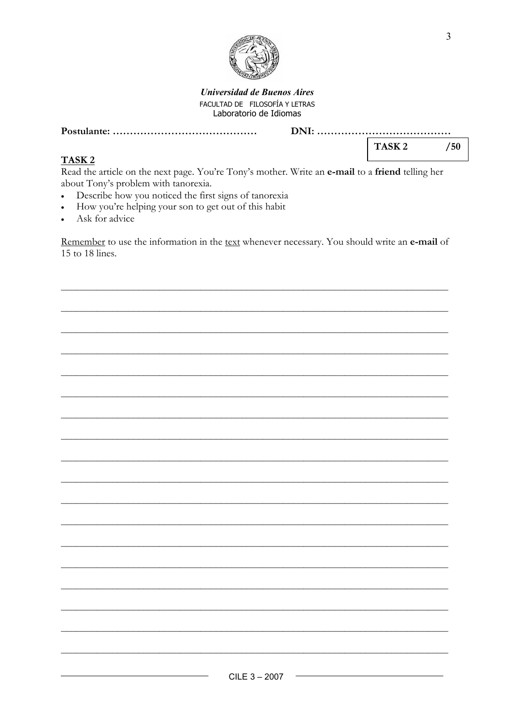

#### **Universidad de Buenos Aires** FACULTAD DE FILOSOFÍA Y LETRAS Laboratorio de Idiomas

 $/50$ 

TASK<sub>2</sub>

## TASK<sub>2</sub>

Read the article on the next page. You're Tony's mother. Write an e-mail to a friend telling her about Tony's problem with tanorexia.

- Describe how you noticed the first signs of tanorexia  $\bullet$
- How you're helping your son to get out of this habit  $\bullet$
- Ask for advice

Remember to use the information in the text whenever necessary. You should write an e-mail of 15 to 18 lines.

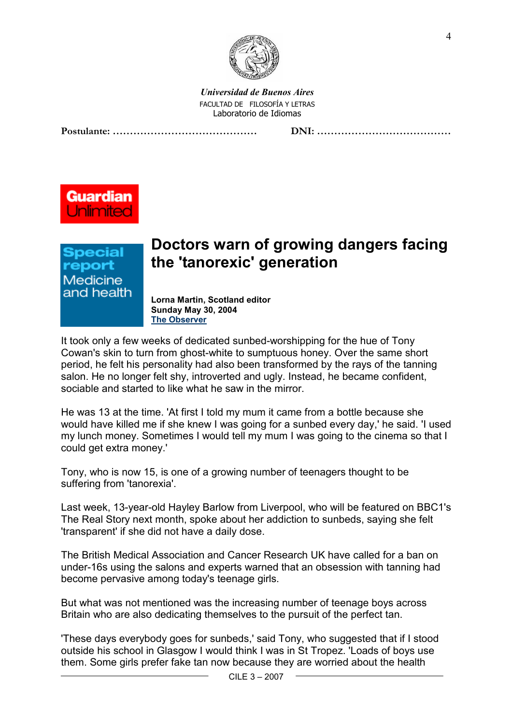

Universidad de Buenos Aires FACULTAD DE FILOSOFÍA Y LETRAS Laboratorio de Idiomas

Postulante: …………………………………… DNI: …………………………………





# Doctors warn of growing dangers facing the 'tanorexic' generation

Lorna Martin, Scotland editor Sunday May 30, 2004 The Observer

It took only a few weeks of dedicated sunbed-worshipping for the hue of Tony Cowan's skin to turn from ghost-white to sumptuous honey. Over the same short period, he felt his personality had also been transformed by the rays of the tanning salon. He no longer felt shy, introverted and ugly. Instead, he became confident, sociable and started to like what he saw in the mirror.

He was 13 at the time. 'At first I told my mum it came from a bottle because she would have killed me if she knew I was going for a sunbed every day,' he said. 'I used my lunch money. Sometimes I would tell my mum I was going to the cinema so that I could get extra money.'

Tony, who is now 15, is one of a growing number of teenagers thought to be suffering from 'tanorexia'.

Last week, 13-year-old Hayley Barlow from Liverpool, who will be featured on BBC1's The Real Story next month, spoke about her addiction to sunbeds, saying she felt 'transparent' if she did not have a daily dose.

The British Medical Association and Cancer Research UK have called for a ban on under-16s using the salons and experts warned that an obsession with tanning had become pervasive among today's teenage girls.

But what was not mentioned was the increasing number of teenage boys across Britain who are also dedicating themselves to the pursuit of the perfect tan.

'These days everybody goes for sunbeds,' said Tony, who suggested that if I stood outside his school in Glasgow I would think I was in St Tropez. 'Loads of boys use them. Some girls prefer fake tan now because they are worried about the health